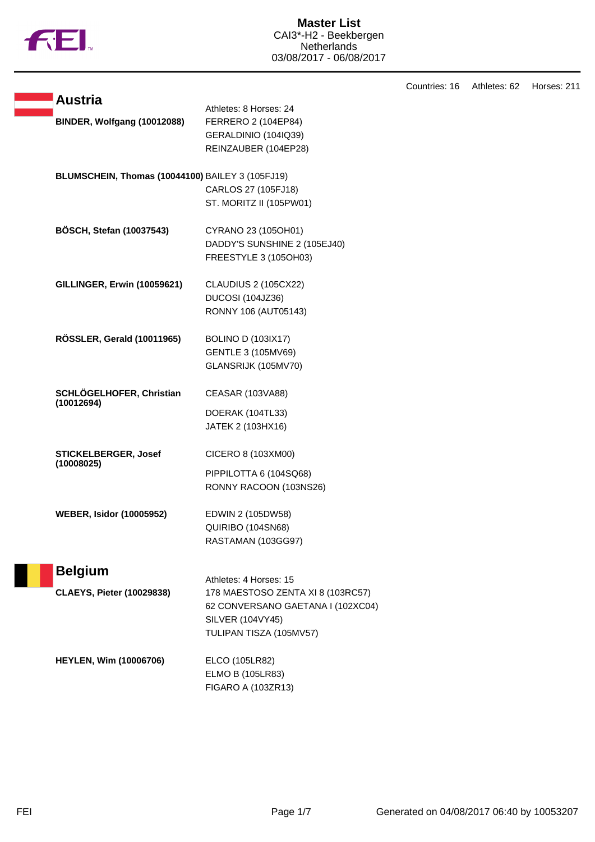

|  |                                                  |                                               | Countries: 16 | Athletes: 62 | Horses: 211 |
|--|--------------------------------------------------|-----------------------------------------------|---------------|--------------|-------------|
|  | <b>Austria</b>                                   |                                               |               |              |             |
|  | BINDER, Wolfgang (10012088)                      | Athletes: 8 Horses: 24<br>FERRERO 2 (104EP84) |               |              |             |
|  |                                                  | GERALDINIO (104IQ39)                          |               |              |             |
|  |                                                  | REINZAUBER (104EP28)                          |               |              |             |
|  |                                                  |                                               |               |              |             |
|  | BLUMSCHEIN, Thomas (10044100) BAILEY 3 (105FJ19) |                                               |               |              |             |
|  |                                                  | CARLOS 27 (105FJ18)                           |               |              |             |
|  |                                                  | ST. MORITZ II (105PW01)                       |               |              |             |
|  |                                                  |                                               |               |              |             |
|  | <b>BÖSCH, Stefan (10037543)</b>                  | CYRANO 23 (105OH01)                           |               |              |             |
|  |                                                  | DADDY'S SUNSHINE 2 (105EJ40)                  |               |              |             |
|  |                                                  | FREESTYLE 3 (105OH03)                         |               |              |             |
|  | GILLINGER, Erwin (10059621)                      | CLAUDIUS 2 (105CX22)                          |               |              |             |
|  |                                                  | DUCOSI (104JZ36)                              |               |              |             |
|  |                                                  | RONNY 106 (AUT05143)                          |               |              |             |
|  |                                                  |                                               |               |              |             |
|  | RÖSSLER, Gerald (10011965)                       | <b>BOLINO D (103IX17)</b>                     |               |              |             |
|  |                                                  | GENTLE 3 (105MV69)                            |               |              |             |
|  |                                                  | GLANSRIJK (105MV70)                           |               |              |             |
|  | SCHLÖGELHOFER, Christian                         | CEASAR (103VA88)                              |               |              |             |
|  | (10012694)                                       | DOERAK (104TL33)                              |               |              |             |
|  |                                                  | JATEK 2 (103HX16)                             |               |              |             |
|  |                                                  |                                               |               |              |             |
|  | STICKELBERGER, Josef                             | CICERO 8 (103XM00)                            |               |              |             |
|  | (10008025)                                       | PIPPILOTTA 6 (104SQ68)                        |               |              |             |
|  |                                                  | RONNY RACOON (103NS26)                        |               |              |             |
|  |                                                  |                                               |               |              |             |
|  | <b>WEBER, Isidor (10005952)</b>                  | EDWIN 2 (105DW58)                             |               |              |             |
|  |                                                  | QUIRIBO (104SN68)                             |               |              |             |
|  |                                                  | RASTAMAN (103GG97)                            |               |              |             |
|  | <b>Belgium</b>                                   |                                               |               |              |             |
|  |                                                  | Athletes: 4 Horses: 15                        |               |              |             |
|  | <b>CLAEYS, Pieter (10029838)</b>                 | 178 MAESTOSO ZENTA XI 8 (103RC57)             |               |              |             |
|  |                                                  | 62 CONVERSANO GAETANA I (102XC04)             |               |              |             |
|  |                                                  | SILVER (104VY45)                              |               |              |             |
|  |                                                  | TULIPAN TISZA (105MV57)                       |               |              |             |
|  | <b>HEYLEN, Wim (10006706)</b>                    | ELCO (105LR82)                                |               |              |             |
|  |                                                  | ELMO B (105LR83)                              |               |              |             |
|  |                                                  | FIGARO A (103ZR13)                            |               |              |             |
|  |                                                  |                                               |               |              |             |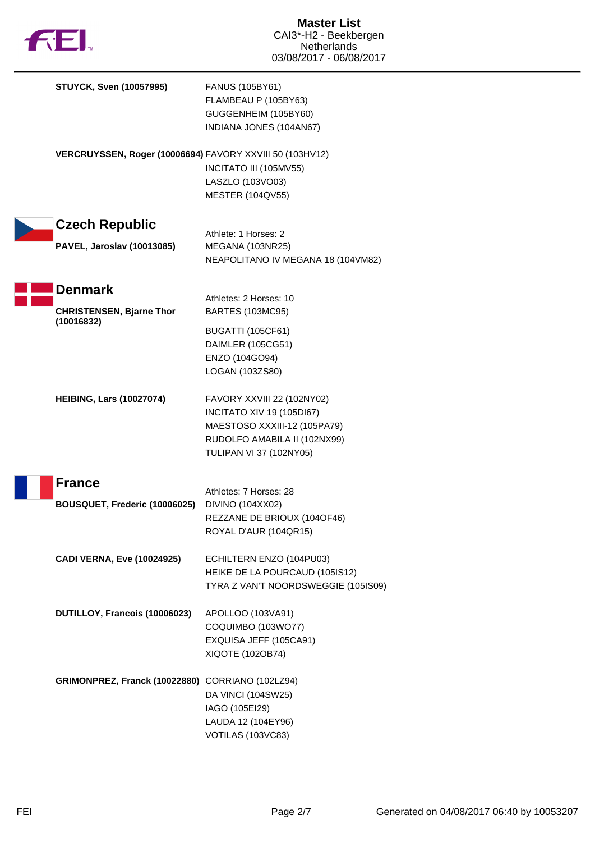

F

| <b>STUYCK, Sven (10057995)</b>                           | FANUS (105BY61)<br>FLAMBEAU P (105BY63)<br>GUGGENHEIM (105BY60)<br>INDIANA JONES (104AN67)                                                                |
|----------------------------------------------------------|-----------------------------------------------------------------------------------------------------------------------------------------------------------|
| VERCRUYSSEN, Roger (10006694) FAVORY XXVIII 50 (103HV12) | INCITATO III (105MV55)<br>LASZLO (103VO03)<br><b>MESTER (104QV55)</b>                                                                                     |
| <b>Czech Republic</b>                                    | Athlete: 1 Horses: 2                                                                                                                                      |
| <b>PAVEL, Jaroslav (10013085)</b>                        | MEGANA (103NR25)<br>NEAPOLITANO IV MEGANA 18 (104VM82)                                                                                                    |
| <b>Denmark</b><br><b>CHRISTENSEN, Bjarne Thor</b>        | Athletes: 2 Horses: 10<br><b>BARTES (103MC95)</b>                                                                                                         |
| (10016832)                                               | <b>BUGATTI (105CF61)</b><br>DAIMLER (105CG51)<br>ENZO (104GO94)<br>LOGAN (103ZS80)                                                                        |
| <b>HEIBING, Lars (10027074)</b>                          | FAVORY XXVIII 22 (102NY02)<br><b>INCITATO XIV 19 (105DI67)</b><br>MAESTOSO XXXIII-12 (105PA79)<br>RUDOLFO AMABILA II (102NX99)<br>TULIPAN VI 37 (102NY05) |
| <b>France</b>                                            | Athletes: 7 Horses: 28                                                                                                                                    |
| BOUSQUET, Frederic (10006025)                            | DIVINO (104XX02)<br>REZZANE DE BRIOUX (1040F46)<br>ROYAL D'AUR (104QR15)                                                                                  |
| <b>CADI VERNA, Eve (10024925)</b>                        | ECHILTERN ENZO (104PU03)<br>HEIKE DE LA POURCAUD (105IS12)<br>TYRA Z VAN'T NOORDSWEGGIE (105IS09)                                                         |
| DUTILLOY, Francois (10006023)                            | APOLLOO (103VA91)<br>COQUIMBO (103WO77)<br>EXQUISA JEFF (105CA91)<br>XIQOTE (102OB74)                                                                     |
| GRIMONPREZ, Franck (10022880) CORRIANO (102LZ94)         | DA VINCI (104SW25)<br>IAGO (105EI29)<br>LAUDA 12 (104EY96)<br>VOTILAS (103VC83)                                                                           |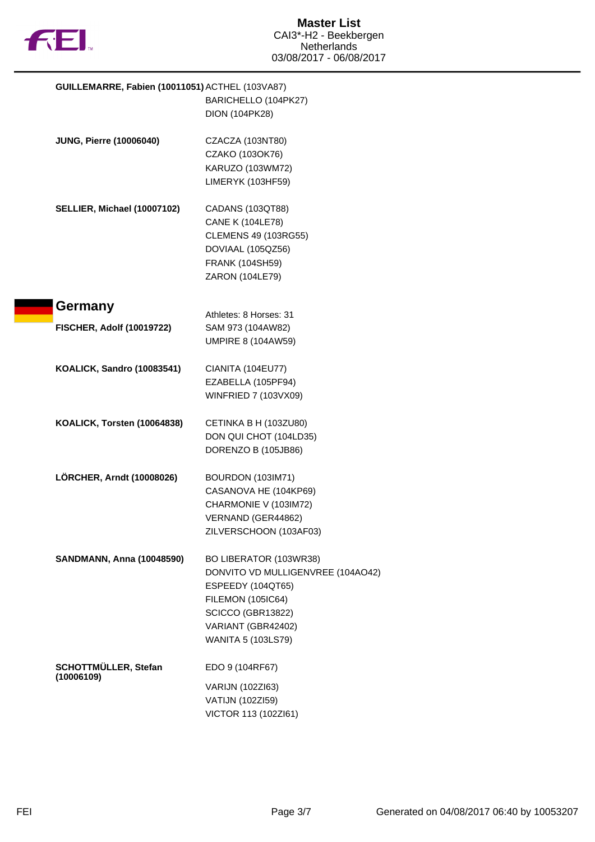

| GUILLEMARRE, Fabien (10011051) ACTHEL (103VA87)            |
|------------------------------------------------------------|
| BARICHELLO (104PK27)                                       |
| <b>DION (104PK28)</b>                                      |
| CZACZA (103NT80)                                           |
| CZAKO (103OK76)                                            |
| KARUZO (103WM72)                                           |
| LIMERYK (103HF59)                                          |
| CADANS (103QT88)                                           |
| <b>CANE K (104LE78)</b>                                    |
| CLEMENS 49 (103RG55)                                       |
| DOVIAAL (105QZ56)                                          |
| <b>FRANK (104SH59)</b>                                     |
| ZARON (104LE79)                                            |
|                                                            |
| Athletes: 8 Horses: 31                                     |
| SAM 973 (104AW82)                                          |
| <b>UMPIRE 8 (104AW59)</b>                                  |
| CIANITA (104EU77)                                          |
| EZABELLA (105PF94)                                         |
| WINFRIED 7 (103VX09)                                       |
| CETINKA B H (103ZU80)                                      |
| DON QUI CHOT (104LD35)                                     |
| DORENZO B (105JB86)                                        |
|                                                            |
| BOURDON (103IM71)                                          |
| CASANOVA HE (104KP69)                                      |
| CHARMONIE V (103IM72)                                      |
| VERNAND (GER44862)                                         |
| ZILVERSCHOON (103AF03)                                     |
| <b>SANDMANN, Anna (10048590)</b><br>BO LIBERATOR (103WR38) |
| DONVITO VD MULLIGENVREE (104AO42)                          |
| ESPEEDY (104QT65)                                          |
| <b>FILEMON (105IC64)</b>                                   |
| SCICCO (GBR13822)                                          |
| VARIANT (GBR42402)                                         |
| WANITA 5 (103LS79)                                         |
| EDO 9 (104RF67)                                            |
| VARIJN (102ZI63)                                           |
| VATIJN (102ZI59)                                           |
| VICTOR 113 (102ZI61)                                       |
|                                                            |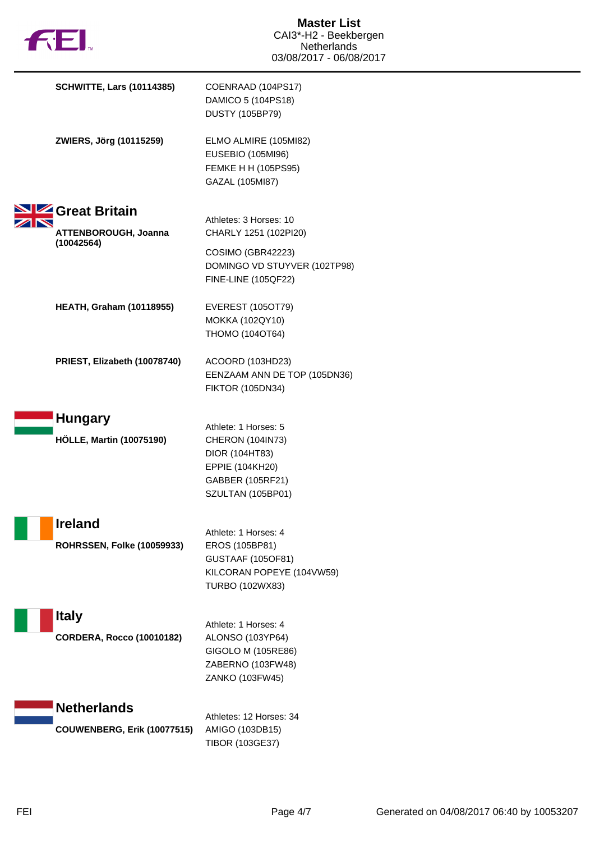| <b>FEI</b>                                          | <b>Master List</b><br>CAI3*-H2 - Beekbergen<br><b>Netherlands</b><br>03/08/2017 - 06/08/2017                           |
|-----------------------------------------------------|------------------------------------------------------------------------------------------------------------------------|
| <b>SCHWITTE, Lars (10114385)</b>                    | COENRAAD (104PS17)<br>DAMICO 5 (104PS18)<br><b>DUSTY (105BP79)</b>                                                     |
| ZWIERS, Jörg (10115259)                             | ELMO ALMIRE (105MI82)<br><b>EUSEBIO (105MI96)</b><br>FEMKE H H (105PS95)<br>GAZAL (105MI87)                            |
| Great Britain                                       |                                                                                                                        |
| ATTENBOROUGH, Joanna                                | Athletes: 3 Horses: 10<br>CHARLY 1251 (102PI20)                                                                        |
| (10042564)                                          | COSIMO (GBR42223)<br>DOMINGO VD STUYVER (102TP98)<br><b>FINE-LINE (105QF22)</b>                                        |
| <b>HEATH, Graham (10118955)</b>                     | <b>EVEREST (105OT79)</b><br>MOKKA (102QY10)<br>THOMO (104OT64)                                                         |
| PRIEST, Elizabeth (10078740)                        | ACOORD (103HD23)<br>EENZAAM ANN DE TOP (105DN36)<br><b>FIKTOR (105DN34)</b>                                            |
| <b>Hungary</b><br><b>HÖLLE, Martin (10075190)</b>   | Athlete: 1 Horses: 5<br>CHERON (104IN73)<br>DIOR (104HT83)<br>EPPIE (104KH20)<br>GABBER (105RF21)<br>SZULTAN (105BP01) |
| <b>Ireland</b><br><b>ROHRSSEN, Folke (10059933)</b> | Athlete: 1 Horses: 4<br>EROS (105BP81)<br><b>GUSTAAF (105OF81)</b><br>KILCORAN POPEYE (104VW59)<br>TURBO (102WX83)     |
| <b>Italy</b><br><b>CORDERA, Rocco (10010182)</b>    | Athlete: 1 Horses: 4<br>ALONSO (103YP64)<br>GIGOLO M (105RE86)                                                         |
|                                                     | ZABERNO (103FW48)<br>ZANKO (103FW45)                                                                                   |
| <b>Netherlands</b>                                  |                                                                                                                        |
| <b>COUWENBERG, Erik (10077515)</b>                  | Athletes: 12 Horses: 34<br>AMIGO (103DB15)<br>TIBOR (103GE37)                                                          |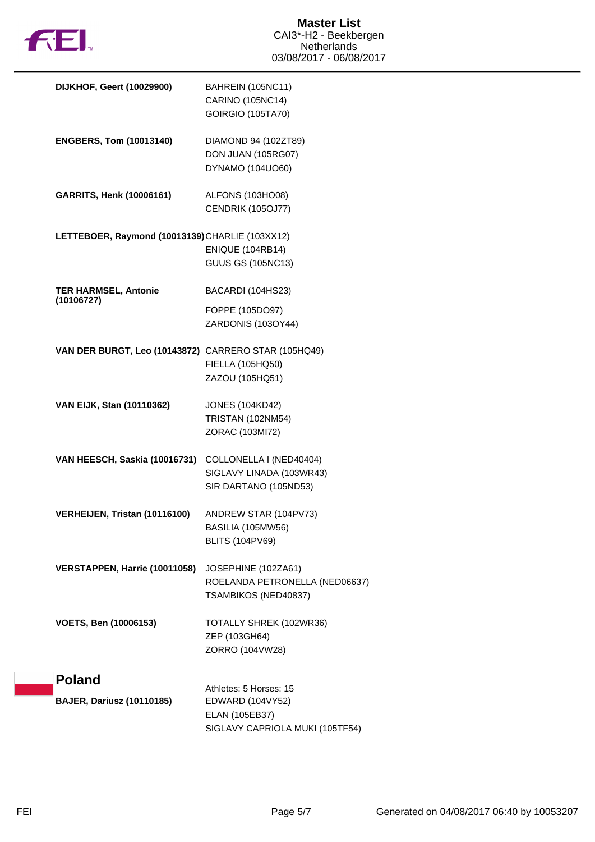

| DIJKHOF, Geert (10029900)                            | BAHREIN (105NC11)<br>CARINO (105NC14)<br><b>GOIRGIO (105TA70)</b>             |
|------------------------------------------------------|-------------------------------------------------------------------------------|
| <b>ENGBERS, Tom (10013140)</b>                       | DIAMOND 94 (102ZT89)<br>DON JUAN (105RG07)<br>DYNAMO (104UO60)                |
| <b>GARRITS, Henk (10006161)</b>                      | ALFONS (103HO08)<br>CENDRIK (105OJ77)                                         |
| LETTEBOER, Raymond (10013139) CHARLIE (103XX12)      | <b>ENIQUE (104RB14)</b><br><b>GUUS GS (105NC13)</b>                           |
| <b>TER HARMSEL, Antonie</b><br>(10106727)            | BACARDI (104HS23)<br>FOPPE (105DO97)<br>ZARDONIS (103OY44)                    |
| VAN DER BURGT, Leo (10143872) CARRERO STAR (105HQ49) | FIELLA (105HQ50)<br>ZAZOU (105HQ51)                                           |
| VAN EIJK, Stan (10110362)                            | <b>JONES (104KD42)</b><br><b>TRISTAN (102NM54)</b><br>ZORAC (103MI72)         |
| VAN HEESCH, Saskia (10016731)                        | COLLONELLA I (NED40404)<br>SIGLAVY LINADA (103WR43)<br>SIR DARTANO (105ND53)  |
| VERHEIJEN, Tristan (10116100)                        | ANDREW STAR (104PV73)<br>BASILIA (105MW56)<br><b>BLITS (104PV69)</b>          |
| VERSTAPPEN, Harrie (10011058)                        | JOSEPHINE (102ZA61)<br>ROELANDA PETRONELLA (NED06637)<br>TSAMBIKOS (NED40837) |
| <b>VOETS, Ben (10006153)</b>                         | TOTALLY SHREK (102WR36)<br>ZEP (103GH64)<br>ZORRO (104VW28)                   |
| <b>Poland</b><br><b>BAJER, Dariusz (10110185)</b>    | Athletes: 5 Horses: 15<br>EDWARD (104VY52)                                    |
|                                                      | ELAN (105EB37)<br>SIGLAVY CAPRIOLA MUKI (105TF54)                             |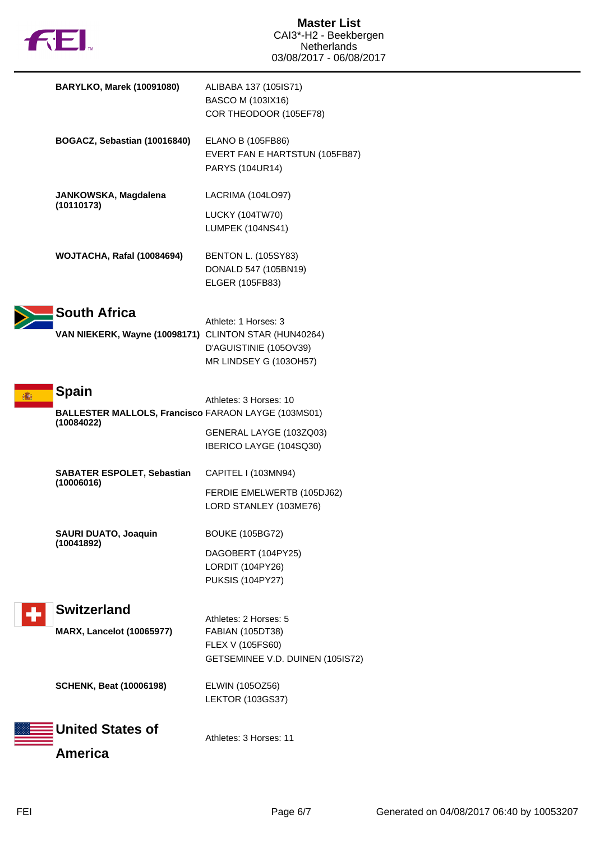

| <b>BARYLKO, Marek (10091080)</b>                                             | ALIBABA 137 (105IS71)<br>BASCO M (103IX16)<br>COR THEODOOR (105EF78)        |
|------------------------------------------------------------------------------|-----------------------------------------------------------------------------|
| BOGACZ, Sebastian (10016840)                                                 | ELANO B (105FB86)<br>EVERT FAN E HARTSTUN (105FB87)<br>PARYS (104UR14)      |
| JANKOWSKA, Magdalena<br>(10110173)                                           | LACRIMA (104LO97)<br><b>LUCKY (104TW70)</b>                                 |
|                                                                              | LUMPEK (104NS41)                                                            |
| WOJTACHA, Rafal (10084694)                                                   | <b>BENTON L. (105SY83)</b><br>DONALD 547 (105BN19)<br>ELGER (105FB83)       |
| <b>South Africa</b><br>VAN NIEKERK, Wayne (10098171) CLINTON STAR (HUN40264) | Athlete: 1 Horses: 3<br>D'AGUISTINIE (105OV39)<br>MR LINDSEY G (103OH57)    |
| <b>Spain</b>                                                                 | Athletes: 3 Horses: 10                                                      |
| <b>BALLESTER MALLOLS, Francisco FARAON LAYGE (103MS01)</b><br>(10084022)     | GENERAL LAYGE (103ZQ03)<br>IBERICO LAYGE (104SQ30)                          |
| <b>SABATER ESPOLET, Sebastian</b><br>(10006016)                              | CAPITEL I (103MN94)<br>FERDIE EMELWERTB (105DJ62)<br>LORD STANLEY (103ME76) |
| <b>SAURI DUATO, Joaquin</b><br>(10041892)                                    | <b>BOUKE (105BG72)</b>                                                      |
|                                                                              | DAGOBERT (104PY25)<br>LORDIT (104PY26)<br><b>PUKSIS (104PY27)</b>           |
| <b>Switzerland</b>                                                           | Athletes: 2 Horses: 5                                                       |
| <b>MARX, Lancelot (10065977)</b>                                             | FABIAN (105DT38)<br>FLEX V (105FS60)<br>GETSEMINEE V.D. DUINEN (105IS72)    |
| <b>SCHENK, Beat (10006198)</b>                                               | ELWIN (105OZ56)<br><b>LEKTOR (103GS37)</b>                                  |
| <b>United States of</b>                                                      | Athletes: 3 Horses: 11                                                      |
| <b>America</b>                                                               |                                                                             |